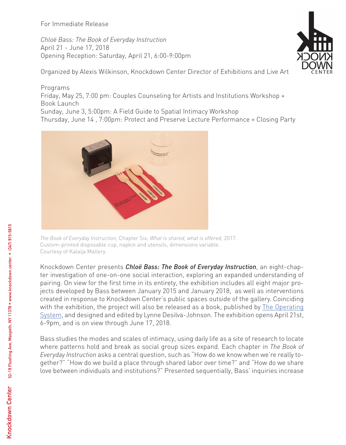For Immediate Release

*Chloë Bass: The Book of Everyday Instruction* April 21 - June 17, 2018 Opening Reception: Saturday, April 21, 6:00-9:00pm

Organized by Alexis Wilkinson, Knockdown Center Director of Exhibitions and Live Art

Programs Friday, May 25, 7:00 pm: Couples Counseling for Artists and Institutions Workshop + Book Launch Sunday, June 3, 5:00pm: A Field Guide to Spatial Intimacy Workshop Thursday, June 14 , 7:00pm: Protect and Preserve Lecture Performance + Closing Party



*The Book of Everyday Instruction*, Chapter Six: *What is shared, what is offered*, 2017. Custom-printed disposable cup, napkin and utensils, dimensions variable. Courtesy of Kalaija Mallery.

Knockdown Center presents *Chloë Bass: The Book of Everyday Instruction*, an eight-chapter investigation of one-on-one social interaction, exploring an expanded understanding of pairing. On view for the first time in its entirety, the exhibition includes all eight major projects developed by Bass between January 2015 and January 2018, as well as interventions created in response to Knockdown Center's public spaces outside of the gallery. Coinciding with the exhibition, the project will also be released as a book, published by The Operating System, and designed and edited by Lynne Desilva-Johnson. The exhibition opens April 21st, 6-9pm, and is on view through June 17, 2018.

Bass studies the modes and scales of intimacy, using daily life as a site of research to locate where patterns hold and break as social group sizes expand. Each chapter in *The Book of Everyday Instruction* asks a central question, such as "How do we know when we're really together?" "How do we build a place through shared labor over time?" and "How do we share love between individuals and institutions?" Presented sequentially, Bass' inquiries increase

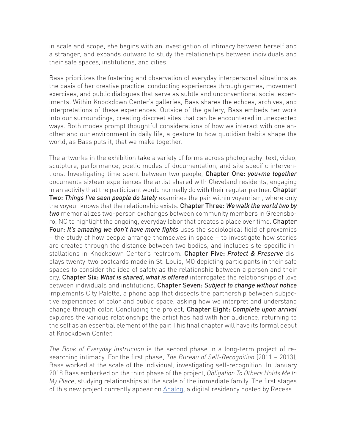in scale and scope; she begins with an investigation of intimacy between herself and a stranger, and expands outward to study the relationships between individuals and their safe spaces, institutions, and cities.

Bass prioritizes the fostering and observation of everyday interpersonal situations as the basis of her creative practice, conducting experiences through games, movement exercises, and public dialogues that serve as subtle and unconventional social experiments. Within Knockdown Center's galleries, Bass shares the echoes, archives, and interpretations of these experiences. Outside of the gallery, Bass embeds her work into our surroundings, creating discreet sites that can be encountered in unexpected ways. Both modes prompt thoughtful considerations of how we interact with one another and our environment in daily life, a gesture to how quotidian habits shape the world, as Bass puts it, that we make together.

The artworks in the exhibition take a variety of forms across photography, text, video, sculpture, performance, poetic modes of documentation, and site specific interventions. Investigating time spent between two people, Chapter One: *you+me together*  documents sixteen experiences the artist shared with Cleveland residents, engaging in an activity that the participant would normally do with their regular partner. Chapter Two: *Things I've seen people do lately* examines the pair within voyeurism, where only the voyeur knows that the relationship exists. Chapter Three: *We walk the world two by two* memorializes two-person exchanges between community members in Greensboro, NC to highlight the ongoing, everyday labor that creates a place over time. Chapter Four: *It's amazing we don't have more fights* uses the sociological field of proxemics – the study of how people arrange themselves in space – to investigate how stories are created through the distance between two bodies, and includes site-specific installations in Knockdown Center's restroom. Chapter Five: *Protect & Preserve* displays twenty-two postcards made in St. Louis, MO depicting participants in their safe spaces to consider the idea of safety as the relationship between a person and their city. Chapter Six: *What is shared, what is offered* interrogates the relationships of love between individuals and institutions. Chapter Seven: *Subject to change without notice* implements City Palette, a phone app that dissects the partnership between subjective experiences of color and public space, asking how we interpret and understand change through color. Concluding the project, Chapter Eight: *Complete upon arrival* explores the various relationships the artist has had with her audience, returning to the self as an essential element of the pair. This final chapter will have its formal debut at Knockdown Center.

*The Book of Everyday Instruction* is the second phase in a long-term project of researching intimacy. For the first phase, *The Bureau of Self-Recognition* (2011 – 2013), Bass worked at the scale of the individual, investigating self-recognition. In January 2018 Bass embarked on the third phase of the project, *Obligation To Others Holds Me In My Place*, studying relationships at the scale of the immediate family. The first stages of this new project currently appear on Analog, a digital residency hosted by Recess.